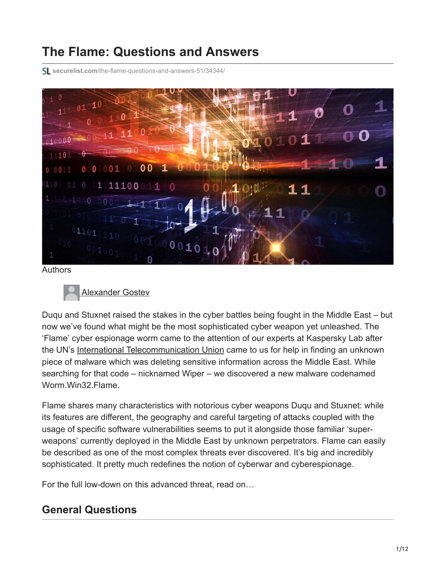# **The Flame: Questions and Answers**

**securelist.com**[/the-flame-questions-and-answers-51/34344/](https://securelist.com/the-flame-questions-and-answers-51/34344/)



Authors



Duqu and Stuxnet raised the stakes in the cyber battles being fought in the Middle East – but now we've found what might be the most sophisticated cyber weapon yet unleashed. The 'Flame' cyber espionage worm came to the attention of our experts at Kaspersky Lab after the UN's [International Telecommunication Union](http://www.itu.int/) came to us for help in finding an unknown piece of malware which was deleting sensitive information across the Middle East. While searching for that code – nicknamed Wiper – we discovered a new malware codenamed Worm.Win32.Flame.

Flame shares many characteristics with notorious cyber weapons Duqu and Stuxnet: while its features are different, the geography and careful targeting of attacks coupled with the usage of specific software vulnerabilities seems to put it alongside those familiar 'superweapons' currently deployed in the Middle East by unknown perpetrators. Flame can easily be described as one of the most complex threats ever discovered. It's big and incredibly sophisticated. It pretty much redefines the notion of cyberwar and cyberespionage.

For the full low-down on this advanced threat, read on…

# **General Questions**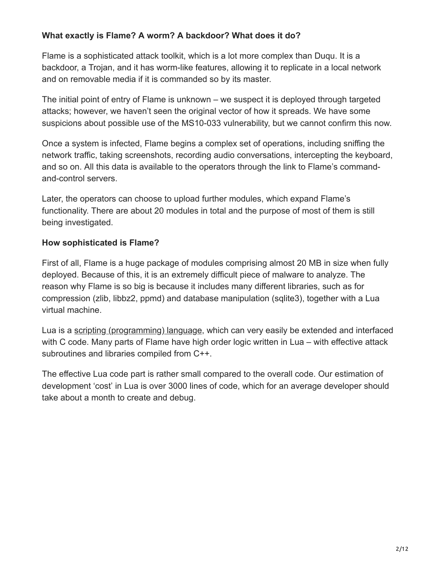## **What exactly is Flame? A worm? A backdoor? What does it do?**

Flame is a sophisticated attack toolkit, which is a lot more complex than Duqu. It is a backdoor, a Trojan, and it has worm-like features, allowing it to replicate in a local network and on removable media if it is commanded so by its master.

The initial point of entry of Flame is unknown – we suspect it is deployed through targeted attacks; however, we haven't seen the original vector of how it spreads. We have some suspicions about possible use of the MS10-033 vulnerability, but we cannot confirm this now.

Once a system is infected, Flame begins a complex set of operations, including sniffing the network traffic, taking screenshots, recording audio conversations, intercepting the keyboard, and so on. All this data is available to the operators through the link to Flame's commandand-control servers.

Later, the operators can choose to upload further modules, which expand Flame's functionality. There are about 20 modules in total and the purpose of most of them is still being investigated.

#### **How sophisticated is Flame?**

First of all, Flame is a huge package of modules comprising almost 20 MB in size when fully deployed. Because of this, it is an extremely difficult piece of malware to analyze. The reason why Flame is so big is because it includes many different libraries, such as for compression (zlib, libbz2, ppmd) and database manipulation (sqlite3), together with a Lua virtual machine.

Lua is a [scripting \(programming\) language,](http://en.wikipedia.org/wiki/Lua_(programming_language) which can very easily be extended and interfaced with C code. Many parts of Flame have high order logic written in Lua – with effective attack subroutines and libraries compiled from C++.

The effective Lua code part is rather small compared to the overall code. Our estimation of development 'cost' in Lua is over 3000 lines of code, which for an average developer should take about a month to create and debug.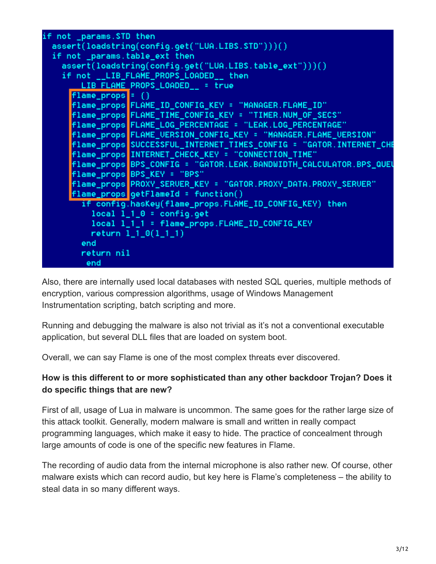```
if not _params.STD then
assert(loadstring(config.get("LUA.LIBS.STD")))()
if not _params.table_ext then
 assert(loadstring(config.get("LUA.LIBS.table_ext")))()
  if not __LIB_FLAME_PROPS_LOADED__ then
     LIB FLAME PROPS_LOADED__ = true
   flame props = \{\}flame_props<mark>fLAME_ID_CONFIG_KEY = "MANAGER.FLAME_ID"</mark>
   flame_props FLAME_TIME_CONFIG_KEY = "TIMER.NUM_OF_SECS"
   flame_props FLAME_LOG_PERCENTAGE = "LEAK.LOG_PERCENTAGE"
   flame_props FLAME_VERSION_CONFIG_KEY = "MANAGER.FLAME_VERSION"
   flame_props BPS_CONFIG = "GATOR.LEAK.BANDWIDTH_CALCULATOR.BPS_QUEU
   flame props BPS KEY = "BPS"
   flame_props getFlameId = function()
     if config.hasKey(flame_props.FLAME_ID_CONFIG_KEY) then
      local 1_0 = config.getlocal 1_1_1 = flame_props.FLAME_ID_CONFIG_KEY
      return 1_1_0(1_1_1)
     end
     return nil
     end
```
Also, there are internally used local databases with nested SQL queries, multiple methods of encryption, various compression algorithms, usage of Windows Management Instrumentation scripting, batch scripting and more.

Running and debugging the malware is also not trivial as it's not a conventional executable application, but several DLL files that are loaded on system boot.

Overall, we can say Flame is one of the most complex threats ever discovered.

## **How is this different to or more sophisticated than any other backdoor Trojan? Does it do specific things that are new?**

First of all, usage of Lua in malware is uncommon. The same goes for the rather large size of this attack toolkit. Generally, modern malware is small and written in really compact programming languages, which make it easy to hide. The practice of concealment through large amounts of code is one of the specific new features in Flame.

The recording of audio data from the internal microphone is also rather new. Of course, other malware exists which can record audio, but key here is Flame's completeness – the ability to steal data in so many different ways.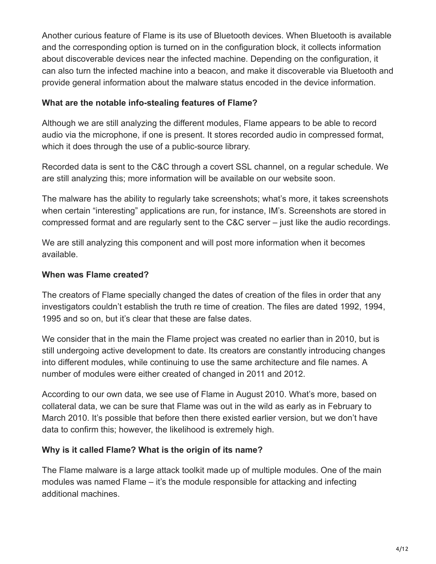Another curious feature of Flame is its use of Bluetooth devices. When Bluetooth is available and the corresponding option is turned on in the configuration block, it collects information about discoverable devices near the infected machine. Depending on the configuration, it can also turn the infected machine into a beacon, and make it discoverable via Bluetooth and provide general information about the malware status encoded in the device information.

#### **What are the notable info-stealing features of Flame?**

Although we are still analyzing the different modules, Flame appears to be able to record audio via the microphone, if one is present. It stores recorded audio in compressed format, which it does through the use of a public-source library.

Recorded data is sent to the C&C through a covert SSL channel, on a regular schedule. We are still analyzing this; more information will be available on our website soon.

The malware has the ability to regularly take screenshots; what's more, it takes screenshots when certain "interesting" applications are run, for instance, IM's. Screenshots are stored in compressed format and are regularly sent to the C&C server – just like the audio recordings.

We are still analyzing this component and will post more information when it becomes available.

#### **When was Flame created?**

The creators of Flame specially changed the dates of creation of the files in order that any investigators couldn't establish the truth re time of creation. The files are dated 1992, 1994, 1995 and so on, but it's clear that these are false dates.

We consider that in the main the Flame project was created no earlier than in 2010, but is still undergoing active development to date. Its creators are constantly introducing changes into different modules, while continuing to use the same architecture and file names. A number of modules were either created of changed in 2011 and 2012.

According to our own data, we see use of Flame in August 2010. What's more, based on collateral data, we can be sure that Flame was out in the wild as early as in February to March 2010. It's possible that before then there existed earlier version, but we don't have data to confirm this; however, the likelihood is extremely high.

#### **Why is it called Flame? What is the origin of its name?**

The Flame malware is a large attack toolkit made up of multiple modules. One of the main modules was named Flame – it's the module responsible for attacking and infecting additional machines.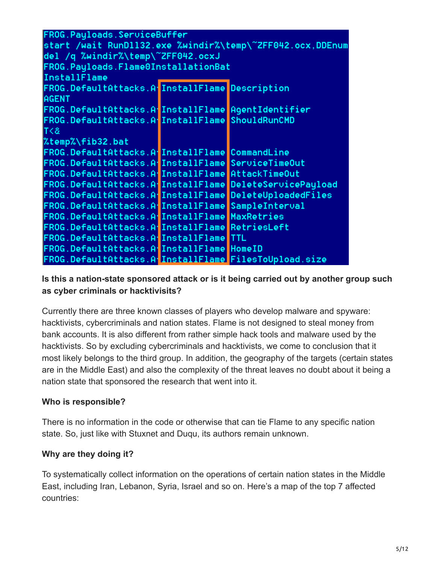| FROG.Payloads.ServiceBuffer                               |  |                |
|-----------------------------------------------------------|--|----------------|
| start /wait RunD1132.exe %windir%\temp\~ZFF042.ocx,DDEnum |  |                |
| del /q %windir%\temp\~ZFF042.ocxJ                         |  |                |
| FROG.Payloads.Flame0InstallationBat                       |  |                |
| InstallFlame                                              |  |                |
| FROG.DefaultAttacks.A.InstallFlame Description            |  |                |
| <b>AGENT</b>                                              |  |                |
| FROG.DefaultAttacks.A InstallFlame AgentIdentifier        |  |                |
| FROG.DefaultAttacks.A.InstallFlame ShouldRunCMD           |  |                |
| 35                                                        |  |                |
| %temp%\fib32.bat                                          |  |                |
| FROG.DefaultAttacks.A.InstallFlame CommandLine            |  |                |
| FROG.DefaultAttacks.A.InstallFlame ServiceTimeOut         |  |                |
| FROG.DefaultAttacks.A.InstallFlame AttackTimeOut          |  |                |
| FROG.DefaultAttacks.A.InstallFlame DeleteServicePayload   |  |                |
| FROG.DefaultAttacks.A InstallFlame DeleteUploadedFiles    |  |                |
| FROG.DefaultAttacks.A.InstallFlame                        |  | SampleInterval |
| FROG.DefaultAttacks.A.InstallFlame MaxRetries             |  |                |
| FROG.DefaultAttacks.A.InstallFlame RetriesLeft            |  |                |
| FROG.DefaultAttacks.A.InstallFlame TTL                    |  |                |
| FROG.DefaultAttacks.A.InstallFlame HomeID                 |  |                |
| FROG.DefaultAttacks.A InstallFlame FilesToUpload.size     |  |                |

#### **Is this a nation-state sponsored attack or is it being carried out by another group such as cyber criminals or hacktivisits?**

Currently there are three known classes of players who develop malware and spyware: hacktivists, cybercriminals and nation states. Flame is not designed to steal money from bank accounts. It is also different from rather simple hack tools and malware used by the hacktivists. So by excluding cybercriminals and hacktivists, we come to conclusion that it most likely belongs to the third group. In addition, the geography of the targets (certain states are in the Middle East) and also the complexity of the threat leaves no doubt about it being a nation state that sponsored the research that went into it.

## **Who is responsible?**

There is no information in the code or otherwise that can tie Flame to any specific nation state. So, just like with Stuxnet and Duqu, its authors remain unknown.

#### **Why are they doing it?**

To systematically collect information on the operations of certain nation states in the Middle East, including Iran, Lebanon, Syria, Israel and so on. Here's a map of the top 7 affected countries: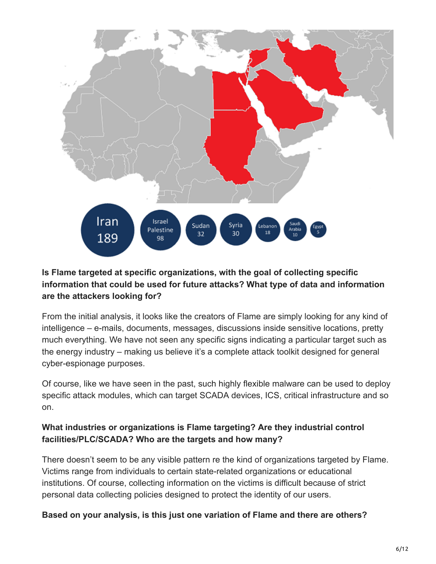

## **Is Flame targeted at specific organizations, with the goal of collecting specific information that could be used for future attacks? What type of data and information are the attackers looking for?**

From the initial analysis, it looks like the creators of Flame are simply looking for any kind of intelligence – e-mails, documents, messages, discussions inside sensitive locations, pretty much everything. We have not seen any specific signs indicating a particular target such as the energy industry – making us believe it's a complete attack toolkit designed for general cyber-espionage purposes.

Of course, like we have seen in the past, such highly flexible malware can be used to deploy specific attack modules, which can target SCADA devices, ICS, critical infrastructure and so on.

## **What industries or organizations is Flame targeting? Are they industrial control facilities/PLC/SCADA? Who are the targets and how many?**

There doesn't seem to be any visible pattern re the kind of organizations targeted by Flame. Victims range from individuals to certain state-related organizations or educational institutions. Of course, collecting information on the victims is difficult because of strict personal data collecting policies designed to protect the identity of our users.

## **Based on your analysis, is this just one variation of Flame and there are others?**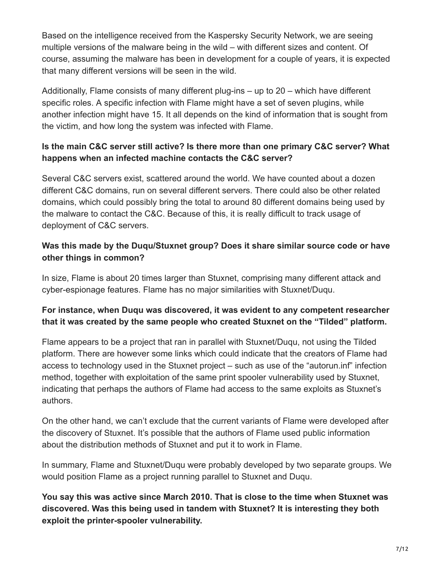Based on the intelligence received from the Kaspersky Security Network, we are seeing multiple versions of the malware being in the wild – with different sizes and content. Of course, assuming the malware has been in development for a couple of years, it is expected that many different versions will be seen in the wild.

Additionally, Flame consists of many different plug-ins – up to 20 – which have different specific roles. A specific infection with Flame might have a set of seven plugins, while another infection might have 15. It all depends on the kind of information that is sought from the victim, and how long the system was infected with Flame.

## **Is the main C&C server still active? Is there more than one primary C&C server? What happens when an infected machine contacts the C&C server?**

Several C&C servers exist, scattered around the world. We have counted about a dozen different C&C domains, run on several different servers. There could also be other related domains, which could possibly bring the total to around 80 different domains being used by the malware to contact the C&C. Because of this, it is really difficult to track usage of deployment of C&C servers.

## **Was this made by the Duqu/Stuxnet group? Does it share similar source code or have other things in common?**

In size, Flame is about 20 times larger than Stuxnet, comprising many different attack and cyber-espionage features. Flame has no major similarities with Stuxnet/Duqu.

## **For instance, when Duqu was discovered, it was evident to any competent researcher that it was created by the same people who created Stuxnet on the "Tilded" platform.**

Flame appears to be a project that ran in parallel with Stuxnet/Duqu, not using the Tilded platform. There are however some links which could indicate that the creators of Flame had access to technology used in the Stuxnet project – such as use of the "autorun.inf" infection method, together with exploitation of the same print spooler vulnerability used by Stuxnet, indicating that perhaps the authors of Flame had access to the same exploits as Stuxnet's authors.

On the other hand, we can't exclude that the current variants of Flame were developed after the discovery of Stuxnet. It's possible that the authors of Flame used public information about the distribution methods of Stuxnet and put it to work in Flame.

In summary, Flame and Stuxnet/Duqu were probably developed by two separate groups. We would position Flame as a project running parallel to Stuxnet and Duqu.

**You say this was active since March 2010. That is close to the time when Stuxnet was discovered. Was this being used in tandem with Stuxnet? It is interesting they both exploit the printer-spooler vulnerability.**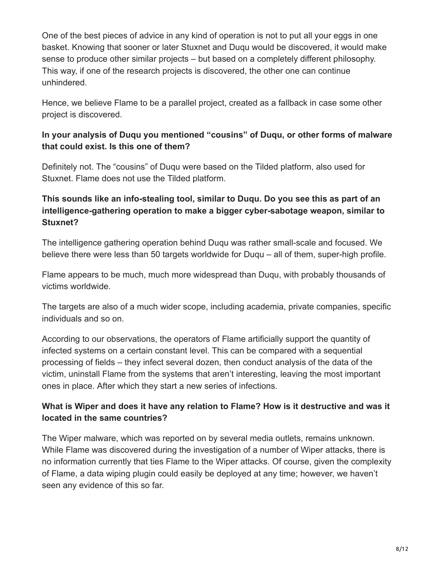One of the best pieces of advice in any kind of operation is not to put all your eggs in one basket. Knowing that sooner or later Stuxnet and Duqu would be discovered, it would make sense to produce other similar projects – but based on a completely different philosophy. This way, if one of the research projects is discovered, the other one can continue unhindered.

Hence, we believe Flame to be a parallel project, created as a fallback in case some other project is discovered.

## **In your analysis of Duqu you mentioned "cousins" of Duqu, or other forms of malware that could exist. Is this one of them?**

Definitely not. The "cousins" of Duqu were based on the Tilded platform, also used for Stuxnet. Flame does not use the Tilded platform.

## **This sounds like an info-stealing tool, similar to Duqu. Do you see this as part of an intelligence-gathering operation to make a bigger cyber-sabotage weapon, similar to Stuxnet?**

The intelligence gathering operation behind Duqu was rather small-scale and focused. We believe there were less than 50 targets worldwide for Duqu – all of them, super-high profile.

Flame appears to be much, much more widespread than Duqu, with probably thousands of victims worldwide.

The targets are also of a much wider scope, including academia, private companies, specific individuals and so on.

According to our observations, the operators of Flame artificially support the quantity of infected systems on a certain constant level. This can be compared with a sequential processing of fields – they infect several dozen, then conduct analysis of the data of the victim, uninstall Flame from the systems that aren't interesting, leaving the most important ones in place. After which they start a new series of infections.

## **What is Wiper and does it have any relation to Flame? How is it destructive and was it located in the same countries?**

The Wiper malware, which was reported on by several media outlets, remains unknown. While Flame was discovered during the investigation of a number of Wiper attacks, there is no information currently that ties Flame to the Wiper attacks. Of course, given the complexity of Flame, a data wiping plugin could easily be deployed at any time; however, we haven't seen any evidence of this so far.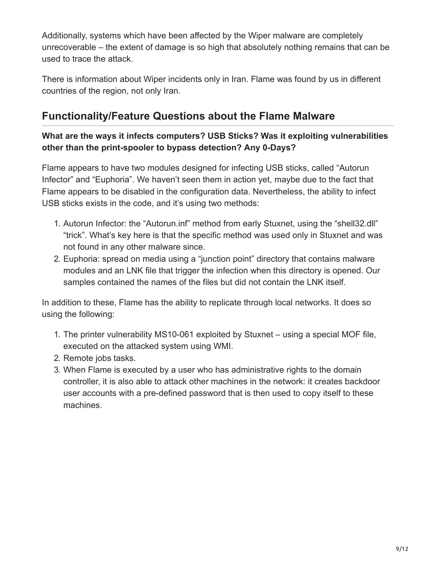Additionally, systems which have been affected by the Wiper malware are completely unrecoverable – the extent of damage is so high that absolutely nothing remains that can be used to trace the attack.

There is information about Wiper incidents only in Iran. Flame was found by us in different countries of the region, not only Iran.

## **Functionality/Feature Questions about the Flame Malware**

## **What are the ways it infects computers? USB Sticks? Was it exploiting vulnerabilities other than the print-spooler to bypass detection? Any 0-Days?**

Flame appears to have two modules designed for infecting USB sticks, called "Autorun Infector" and "Euphoria". We haven't seen them in action yet, maybe due to the fact that Flame appears to be disabled in the configuration data. Nevertheless, the ability to infect USB sticks exists in the code, and it's using two methods:

- 1. Autorun Infector: the "Autorun.inf" method from early Stuxnet, using the "shell32.dll" "trick". What's key here is that the specific method was used only in Stuxnet and was not found in any other malware since.
- 2. Euphoria: spread on media using a "junction point" directory that contains malware modules and an LNK file that trigger the infection when this directory is opened. Our samples contained the names of the files but did not contain the LNK itself.

In addition to these, Flame has the ability to replicate through local networks. It does so using the following:

- 1. The printer vulnerability MS10-061 exploited by Stuxnet using a special MOF file, executed on the attacked system using WMI.
- 2. Remote jobs tasks.
- 3. When Flame is executed by a user who has administrative rights to the domain controller, it is also able to attack other machines in the network: it creates backdoor user accounts with a pre-defined password that is then used to copy itself to these machines.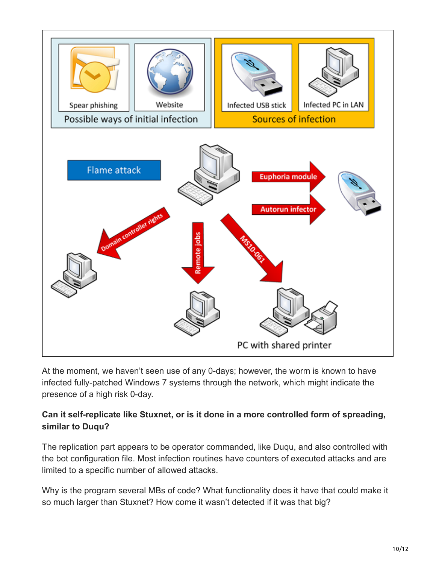

At the moment, we haven't seen use of any 0-days; however, the worm is known to have infected fully-patched Windows 7 systems through the network, which might indicate the presence of a high risk 0-day.

## **Can it self-replicate like Stuxnet, or is it done in a more controlled form of spreading, similar to Duqu?**

The replication part appears to be operator commanded, like Duqu, and also controlled with the bot configuration file. Most infection routines have counters of executed attacks and are limited to a specific number of allowed attacks.

Why is the program several MBs of code? What functionality does it have that could make it so much larger than Stuxnet? How come it wasn't detected if it was that big?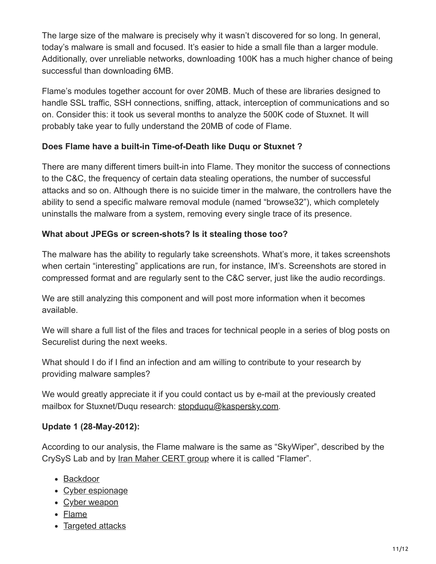The large size of the malware is precisely why it wasn't discovered for so long. In general, today's malware is small and focused. It's easier to hide a small file than a larger module. Additionally, over unreliable networks, downloading 100K has a much higher chance of being successful than downloading 6MB.

Flame's modules together account for over 20MB. Much of these are libraries designed to handle SSL traffic, SSH connections, sniffing, attack, interception of communications and so on. Consider this: it took us several months to analyze the 500K code of Stuxnet. It will probably take year to fully understand the 20MB of code of Flame.

## **Does Flame have a built-in Time-of-Death like Duqu or Stuxnet ?**

There are many different timers built-in into Flame. They monitor the success of connections to the C&C, the frequency of certain data stealing operations, the number of successful attacks and so on. Although there is no suicide timer in the malware, the controllers have the ability to send a specific malware removal module (named "browse32"), which completely uninstalls the malware from a system, removing every single trace of its presence.

## **What about JPEGs or screen-shots? Is it stealing those too?**

The malware has the ability to regularly take screenshots. What's more, it takes screenshots when certain "interesting" applications are run, for instance, IM's. Screenshots are stored in compressed format and are regularly sent to the C&C server, just like the audio recordings.

We are still analyzing this component and will post more information when it becomes available.

We will share a full list of the files and traces for technical people in a series of blog posts on Securelist during the next weeks.

What should I do if I find an infection and am willing to contribute to your research by providing malware samples?

We would greatly appreciate it if you could contact us by e-mail at the previously created mailbox for Stuxnet/Duqu research: [stopduqu@kaspersky.com](http://10.10.0.46/mailto:stopduqu@kaspersky.com).

#### **Update 1 (28-May-2012):**

According to our analysis, the Flame malware is the same as "SkyWiper", described by the CrySyS Lab and by [Iran Maher CERT group](http://www.certcc.ir/index.php?name=news&file=article&sid=1894) where it is called "Flamer".

- [Backdoor](https://securelist.com/tag/backdoor/)
- [Cyber espionage](https://securelist.com/tag/cyber-espionage/)
- [Cyber weapon](https://securelist.com/tag/cyber-weapon/)
- [Flame](https://securelist.com/tag/flame/)
- [Targeted attacks](https://securelist.com/tag/targeted-attacks/)